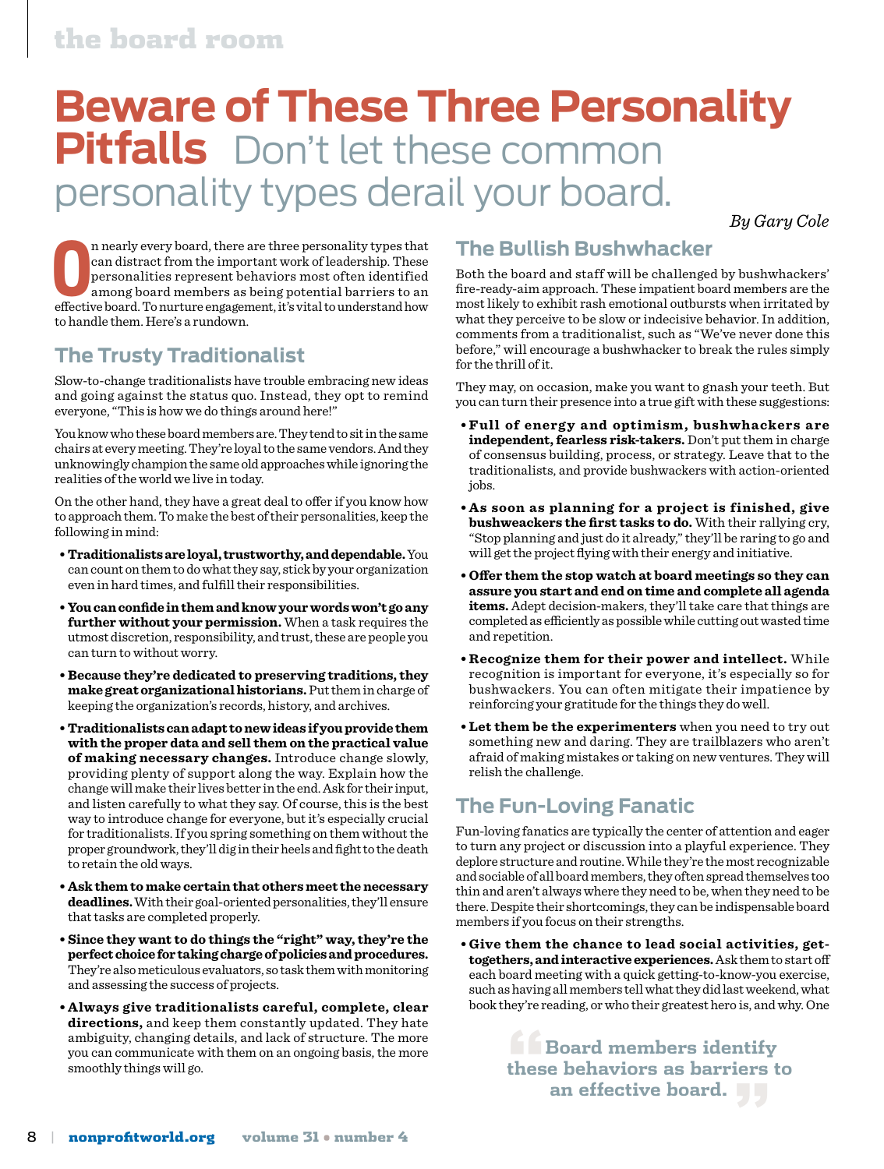### the board room

# **Beware of These Three Personality Pitfalls** Don't let these common personality types derail your board.

*By Gary Cole*

**O effective board.** There are three personality types that<br>
can distract from the important work of leadership. These<br>
personalities represent behaviors most often identified<br>
among board members as being potential barr n nearly every board, there are three personality types that can distract from the important work of leadership. These personalities represent behaviors most often identified among board members as being potential barriers to an to handle them. Here's a rundown.

#### **The Trusty Traditionalist**

Slow-to-change traditionalists have trouble embracing new ideas and going against the status quo. Instead, they opt to remind everyone, "This is how we do things around here!"

You know who these board members are. They tend to sit in the same chairs at every meeting. They're loyal to the same vendors. And they unknowingly champion the same old approaches while ignoring the realities of the world we live in today.

On the other hand, they have a great deal to offer if you know how to approach them. To make the best of their personalities, keep the following in mind:

- **Traditionalists are loyal, trustworthy, and dependable.** You can count on them to do what they say, stick by your organization even in hard times, and fulfill their responsibilities.
- **You can confide in them and know your words won't go any further without your permission.** When a task requires the utmost discretion, responsibility, and trust, these are people you can turn to without worry.
- **Because they're dedicated to preserving traditions, they make great organizational historians.** Put them in charge of keeping the organization's records, history, and archives.
- **Traditionalists can adapt to new ideas if you provide them with the proper data and sell them on the practical value of making necessary changes.** Introduce change slowly, providing plenty of support along the way. Explain how the change will make their lives better in the end. Ask for their input, and listen carefully to what they say. Of course, this is the best way to introduce change for everyone, but it's especially crucial for traditionalists. If you spring something on them without the proper groundwork, they'll dig in their heels and fight to the death to retain the old ways.
- **Ask them to make certain that others meet the necessary deadlines.** With their goal-oriented personalities, they'll ensure that tasks are completed properly.
- **Since they want to do things the "right" way, they're the perfect choice for taking charge of policies and procedures.** They're also meticulous evaluators, so task them with monitoring and assessing the success of projects.
- **Always give traditionalists careful, complete, clear directions,** and keep them constantly updated. They hate ambiguity, changing details, and lack of structure. The more you can communicate with them on an ongoing basis, the more smoothly things will go.

#### **The Bullish Bushwhacker**

Both the board and staff will be challenged by bushwhackers' fire-ready-aim approach. These impatient board members are the most likely to exhibit rash emotional outbursts when irritated by what they perceive to be slow or indecisive behavior. In addition, comments from a traditionalist, such as "We've never done this before," will encourage a bushwhacker to break the rules simply for the thrill of it.

They may, on occasion, make you want to gnash your teeth. But you can turn their presence into a true gift with these suggestions:

- **Full of energ y a nd optimism, bushwhackers a re independent, fearless risk-takers.** Don't put them in charge of consensus building, process, or strategy. Leave that to the traditionalists, and provide bushwackers with action-oriented jobs.
- **As soon as planning for a project is finished, give bushweackers the first tasks to do.** With their rallying cry, "Stop planning and just do it already," they'll be raring to go and will get the project flying with their energy and initiative.
- **Offer them the stop watch at board meetings so they can assure you start and end on time and complete all agenda items.** Adept decision-makers, they'll take care that things are completed as efficiently as possible while cutting out wasted time and repetition.
- **Recognize them for their power and intellect.** While recognition is important for everyone, it's especially so for bushwackers. You can often mitigate their impatience by reinforcing your gratitude for the things they do well.
- **Let them be the experimenters** when you need to try out something new and daring. They are trailblazers who aren't afraid of making mistakes or taking on new ventures. They will relish the challenge.

#### **The Fun-Loving Fanatic**

Fun-loving fanatics are typically the center of attention and eager to turn any project or discussion into a playful experience. They deplore structure and routine. While they're the most recognizable and sociable of all board members, they often spread themselves too thin and aren't always where they need to be, when they need to be there. Despite their shortcomings, they can be indispensable board members if you focus on their strengths.

**• Give them the chance to lead social activities, gettogethers, and interactive experiences.** Ask them to start off each board meeting with a quick getting-to-know-you exercise, such as having all members tell what they did last weekend, what book they're reading, or who their greatest hero is, and why. One

> **Example Board members identify these behaviors as barriers to an effective board. "**